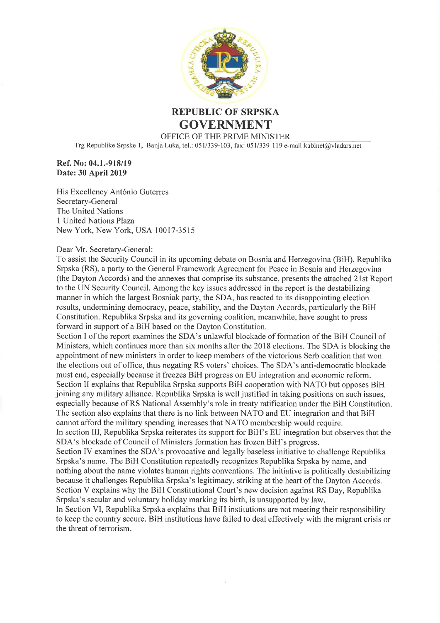

## **REPUBLIC OF SRPSKA GOVERNMENT** OFFICE OF THE PRIME MINISTER

Trg Republike Srpske 1, Banja Luka, tel.: 051/339-103, fax: 051/339-119 e-mail: kabinet@vladars.net

#### Ref. No: 04.1.-918/19 Date: 30 April 2019

His Excellency António Guterres Secretary-General The United Nations 1 United Nations Plaza New York, New York, USA 10017-3515

#### Dear Mr. Secretary-General:

To assist the Security Council in its upcoming debate on Bosnia and Herzegovina (BiH), Republika Srpska (RS), a party to the General Framework Agreement for Peace in Bosnia and Herzegovina (the Dayton Accords) and the annexes that comprise its substance, presents the attached 21st Report to the UN Security Council. Among the key issues addressed in the report is the destabilizing manner in which the largest Bosniak party, the SDA, has reacted to its disappointing election results, undermining democracy, peace, stability, and the Dayton Accords, particularly the BiH Constitution. Republika Srpska and its governing coalition, meanwhile, have sought to press forward in support of a BiH based on the Dayton Constitution.

Section I of the report examines the SDA's unlawful blockade of formation of the BiH Council of Ministers, which continues more than six months after the 2018 elections. The SDA is blocking the appointment of new ministers in order to keep members of the victorious Serb coalition that won the elections out of office, thus negating RS voters' choices. The SDA's anti-democratic blockade must end, especially because it freezes BiH progress on EU integration and economic reform. Section II explains that Republika Srpska supports BiH cooperation with NATO but opposes BiH joining any military alliance. Republika Srpska is well justified in taking positions on such issues, especially because of RS National Assembly's role in treaty ratification under the BiH Constitution. The section also explains that there is no link between NATO and EU integration and that BiH cannot afford the military spending increases that NATO membership would require.

In section III, Republika Srpska reiterates its support for BiH's EU integration but observes that the SDA's blockade of Council of Ministers formation has frozen BiH's progress.

Section IV examines the SDA's provocative and legally baseless initiative to challenge Republika Srpska's name. The BiH Constitution repeatedly recognizes Republika Srpska by name, and nothing about the name violates human rights conventions. The initiative is politically destabilizing because it challenges Republika Srpska's legitimacy, striking at the heart of the Dayton Accords. Section V explains why the BiH Constitutional Court's new decision against RS Day, Republika Srpska's secular and voluntary holiday marking its birth, is unsupported by law.

In Section VI, Republika Srpska explains that BiH institutions are not meeting their responsibility to keep the country secure. BiH institutions have failed to deal effectively with the migrant crisis or the threat of terrorism.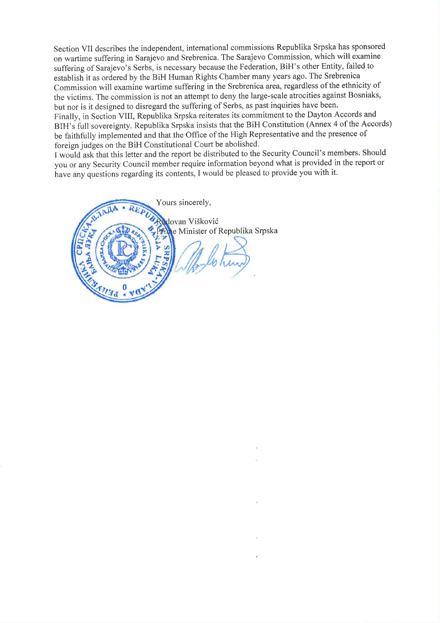Section VII describes the independent, international commissions Republika Srpska has sponsored on wartime suffering in Sarajevo and Srebrenica. The Sarajevo Commission, which will examine suffering of Sarajevo's Serbs, is necessary because the Federation, BiH's other Entity, failed to establish it as ordered by the BiH Human Rights Chamber many years ago. The Srebrenica Commission will examine wartime suffering in the Srebrenica area, regardless of the ethnicity of the victims. The commission is not an attempt to deny the large-scale atrocities against Bosniaks, but nor is it designed to disregard the suffering of Serbs, as past inquiries have been. Finally, in Section VIII, Republika Srpska reiterates its commitment to the Dayton Accords and

BIH's full sovereignty. Republika Srpska insists that the BiH Constitution (Annex 4 of the Accords) be faithfully implemented and that the Office of the High Representative and the presence of foreign judges on the BiH Constitutional Court be abolished.

I would ask that this letter and the report be distributed to the Security Council's members. Should you or any Security Council member require information beyond what is provided in the report or have any questions regarding its contents, I would be pleased to provide you with it.

Yours sincerely, dovan Višković **rime** Minister of Republika Srpska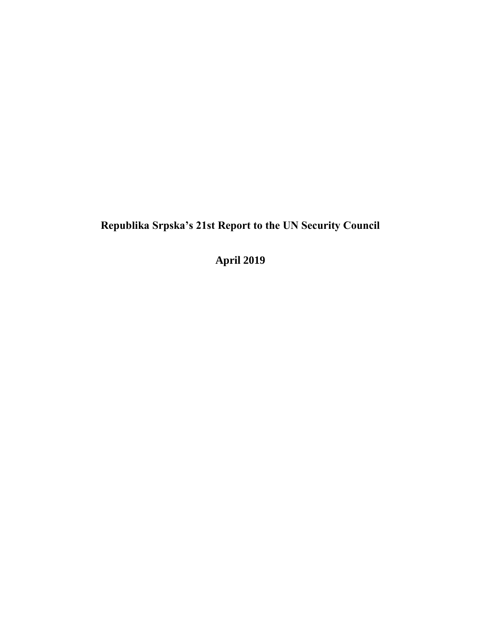**April 2019**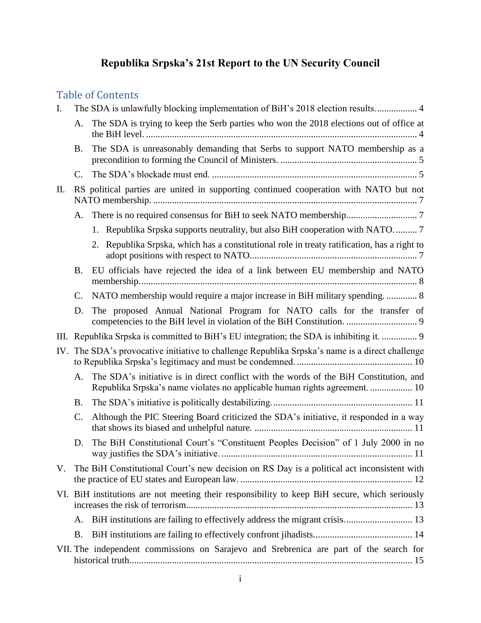## Table of Contents

| $\mathbf{I}$ . |                 |                                                                                                                                                                      |
|----------------|-----------------|----------------------------------------------------------------------------------------------------------------------------------------------------------------------|
|                | A.              | The SDA is trying to keep the Serb parties who won the 2018 elections out of office at                                                                               |
|                | <b>B.</b>       | The SDA is unreasonably demanding that Serbs to support NATO membership as a                                                                                         |
|                | C.              |                                                                                                                                                                      |
| II.            |                 | RS political parties are united in supporting continued cooperation with NATO but not                                                                                |
|                |                 |                                                                                                                                                                      |
|                |                 | 1. Republika Srpska supports neutrality, but also BiH cooperation with NATO                                                                                          |
|                |                 | 2. Republika Srpska, which has a constitutional role in treaty ratification, has a right to                                                                          |
|                | <b>B.</b>       | EU officials have rejected the idea of a link between EU membership and NATO                                                                                         |
|                | C.              | NATO membership would require a major increase in BiH military spending 8                                                                                            |
|                | D.              | The proposed Annual National Program for NATO calls for the transfer of                                                                                              |
|                |                 | III. Republika Srpska is committed to BiH's EU integration; the SDA is inhibiting it.  9                                                                             |
|                |                 | IV. The SDA's provocative initiative to challenge Republika Srpska's name is a direct challenge                                                                      |
|                | A.              | The SDA's initiative is in direct conflict with the words of the BiH Constitution, and<br>Republika Srpska's name violates no applicable human rights agreement.  10 |
|                | <b>B.</b>       |                                                                                                                                                                      |
|                | $\mathcal{C}$ . | Although the PIC Steering Board criticized the SDA's initiative, it responded in a way                                                                               |
|                | D.              | The BiH Constitutional Court's "Constituent Peoples Decision" of 1 July 2000 in no                                                                                   |
| V.             |                 | The BiH Constitutional Court's new decision on RS Day is a political act inconsistent with                                                                           |
|                |                 | VI. BiH institutions are not meeting their responsibility to keep BiH secure, which seriously                                                                        |
|                | A.              |                                                                                                                                                                      |
|                | <b>B.</b>       |                                                                                                                                                                      |
|                |                 | VII. The independent commissions on Sarajevo and Srebrenica are part of the search for                                                                               |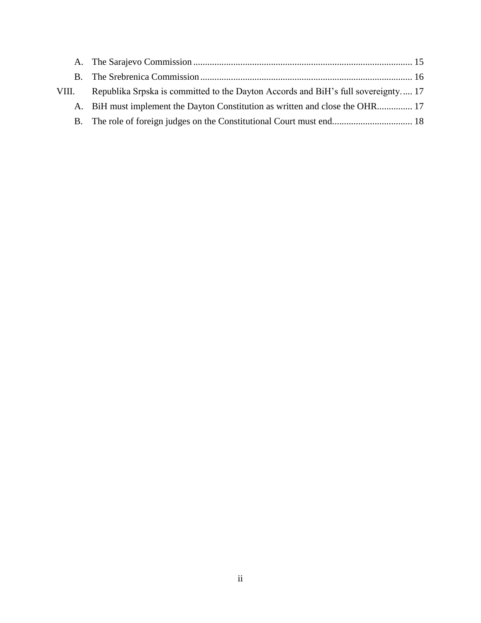| VIII. | Republika Srpska is committed to the Dayton Accords and BiH's full sovereignty 17 |
|-------|-----------------------------------------------------------------------------------|
|       | A. BiH must implement the Dayton Constitution as written and close the OHR 17     |
|       |                                                                                   |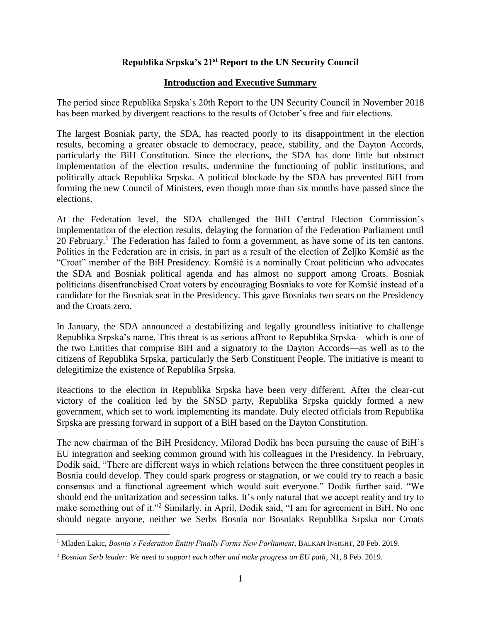#### **Introduction and Executive Summary**

The period since Republika Srpska's 20th Report to the UN Security Council in November 2018 has been marked by divergent reactions to the results of October's free and fair elections.

The largest Bosniak party, the SDA, has reacted poorly to its disappointment in the election results, becoming a greater obstacle to democracy, peace, stability, and the Dayton Accords, particularly the BiH Constitution. Since the elections, the SDA has done little but obstruct implementation of the election results, undermine the functioning of public institutions, and politically attack Republika Srpska. A political blockade by the SDA has prevented BiH from forming the new Council of Ministers, even though more than six months have passed since the elections.

At the Federation level, the SDA challenged the BiH Central Election Commission's implementation of the election results, delaying the formation of the Federation Parliament until 20 February.<sup>1</sup> The Federation has failed to form a government, as have some of its ten cantons. Politics in the Federation are in crisis, in part as a result of the election of Željko Komšić as the "Croat" member of the BiH Presidency. Komšić is a nominally Croat politician who advocates the SDA and Bosniak political agenda and has almost no support among Croats. Bosniak politicians disenfranchised Croat voters by encouraging Bosniaks to vote for Komšić instead of a candidate for the Bosniak seat in the Presidency. This gave Bosniaks two seats on the Presidency and the Croats zero.

In January, the SDA announced a destabilizing and legally groundless initiative to challenge Republika Srpska's name. This threat is as serious affront to Republika Srpska—which is one of the two Entities that comprise BiH and a signatory to the Dayton Accords—as well as to the citizens of Republika Srpska, particularly the Serb Constituent People. The initiative is meant to delegitimize the existence of Republika Srpska.

Reactions to the election in Republika Srpska have been very different. After the clear-cut victory of the coalition led by the SNSD party, Republika Srpska quickly formed a new government, which set to work implementing its mandate. Duly elected officials from Republika Srpska are pressing forward in support of a BiH based on the Dayton Constitution.

The new chairman of the BiH Presidency, Milorad Dodik has been pursuing the cause of BiH's EU integration and seeking common ground with his colleagues in the Presidency. In February, Dodik said, "There are different ways in which relations between the three constituent peoples in Bosnia could develop. They could spark progress or stagnation, or we could try to reach a basic consensus and a functional agreement which would suit everyone." Dodik further said. "We should end the unitarization and secession talks. It's only natural that we accept reality and try to make something out of it."<sup>2</sup> Similarly, in April, Dodik said, "I am for agreement in BiH. No one should negate anyone, neither we Serbs Bosnia nor Bosniaks Republika Srpska nor Croats

 $\overline{a}$ 

<sup>1</sup> Mladen Lakic, *Bosnia's Federation Entity Finally Forms New Parliament*, BALKAN INSIGHT, 20 Feb. 2019.

<sup>2</sup> *Bosnian Serb leader: We need to support each other and make progress on EU path*, N1, 8 Feb. 2019.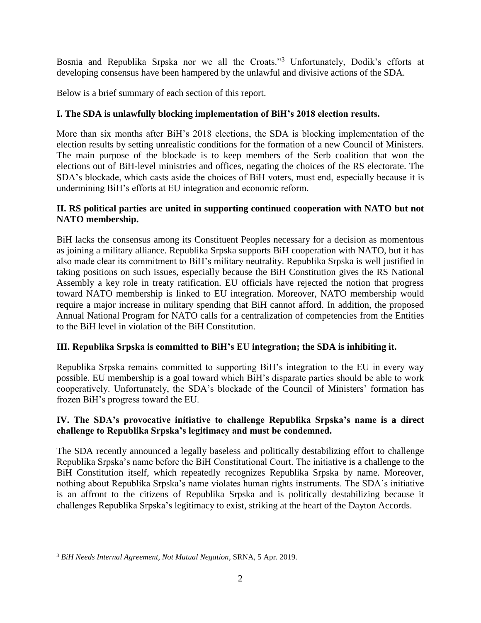Bosnia and Republika Srpska nor we all the Croats."<sup>3</sup> Unfortunately, Dodik's efforts at developing consensus have been hampered by the unlawful and divisive actions of the SDA.

Below is a brief summary of each section of this report.

## **I. The SDA is unlawfully blocking implementation of BiH's 2018 election results.**

More than six months after BiH's 2018 elections, the SDA is blocking implementation of the election results by setting unrealistic conditions for the formation of a new Council of Ministers. The main purpose of the blockade is to keep members of the Serb coalition that won the elections out of BiH-level ministries and offices, negating the choices of the RS electorate. The SDA's blockade, which casts aside the choices of BiH voters, must end, especially because it is undermining BiH's efforts at EU integration and economic reform.

#### **II. RS political parties are united in supporting continued cooperation with NATO but not NATO membership.**

BiH lacks the consensus among its Constituent Peoples necessary for a decision as momentous as joining a military alliance. Republika Srpska supports BiH cooperation with NATO, but it has also made clear its commitment to BiH's military neutrality. Republika Srpska is well justified in taking positions on such issues, especially because the BiH Constitution gives the RS National Assembly a key role in treaty ratification. EU officials have rejected the notion that progress toward NATO membership is linked to EU integration. Moreover, NATO membership would require a major increase in military spending that BiH cannot afford. In addition, the proposed Annual National Program for NATO calls for a centralization of competencies from the Entities to the BiH level in violation of the BiH Constitution.

## **III. Republika Srpska is committed to BiH's EU integration; the SDA is inhibiting it.**

Republika Srpska remains committed to supporting BiH's integration to the EU in every way possible. EU membership is a goal toward which BiH's disparate parties should be able to work cooperatively. Unfortunately, the SDA's blockade of the Council of Ministers' formation has frozen BiH's progress toward the EU.

### **IV. The SDA's provocative initiative to challenge Republika Srpska's name is a direct challenge to Republika Srpska's legitimacy and must be condemned.**

The SDA recently announced a legally baseless and politically destabilizing effort to challenge Republika Srpska's name before the BiH Constitutional Court. The initiative is a challenge to the BiH Constitution itself, which repeatedly recognizes Republika Srpska by name. Moreover, nothing about Republika Srpska's name violates human rights instruments. The SDA's initiative is an affront to the citizens of Republika Srpska and is politically destabilizing because it challenges Republika Srpska's legitimacy to exist, striking at the heart of the Dayton Accords.

 $\overline{a}$ <sup>3</sup> *BiH Needs Internal Agreement, Not Mutual Negation*, SRNA, 5 Apr. 2019.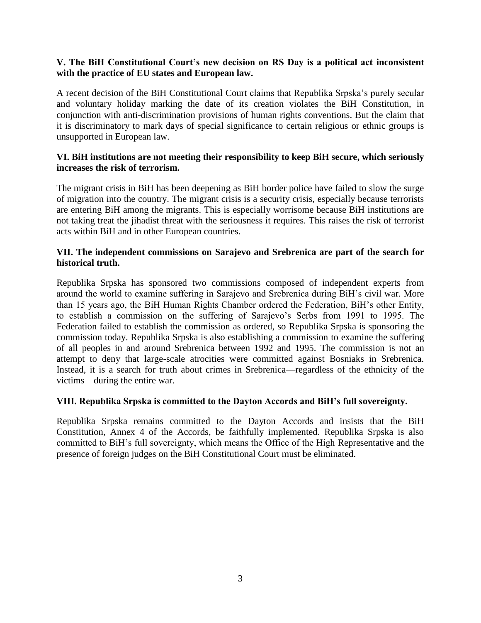#### **V. The BiH Constitutional Court's new decision on RS Day is a political act inconsistent with the practice of EU states and European law.**

A recent decision of the BiH Constitutional Court claims that Republika Srpska's purely secular and voluntary holiday marking the date of its creation violates the BiH Constitution, in conjunction with anti-discrimination provisions of human rights conventions. But the claim that it is discriminatory to mark days of special significance to certain religious or ethnic groups is unsupported in European law.

#### **VI. BiH institutions are not meeting their responsibility to keep BiH secure, which seriously increases the risk of terrorism.**

The migrant crisis in BiH has been deepening as BiH border police have failed to slow the surge of migration into the country. The migrant crisis is a security crisis, especially because terrorists are entering BiH among the migrants. This is especially worrisome because BiH institutions are not taking treat the jihadist threat with the seriousness it requires. This raises the risk of terrorist acts within BiH and in other European countries.

#### **VII. The independent commissions on Sarajevo and Srebrenica are part of the search for historical truth.**

Republika Srpska has sponsored two commissions composed of independent experts from around the world to examine suffering in Sarajevo and Srebrenica during BiH's civil war. More than 15 years ago, the BiH Human Rights Chamber ordered the Federation, BiH's other Entity, to establish a commission on the suffering of Sarajevo's Serbs from 1991 to 1995. The Federation failed to establish the commission as ordered, so Republika Srpska is sponsoring the commission today. Republika Srpska is also establishing a commission to examine the suffering of all peoples in and around Srebrenica between 1992 and 1995. The commission is not an attempt to deny that large-scale atrocities were committed against Bosniaks in Srebrenica. Instead, it is a search for truth about crimes in Srebrenica—regardless of the ethnicity of the victims—during the entire war.

#### **VIII. Republika Srpska is committed to the Dayton Accords and BiH's full sovereignty.**

Republika Srpska remains committed to the Dayton Accords and insists that the BiH Constitution, Annex 4 of the Accords, be faithfully implemented. Republika Srpska is also committed to BiH's full sovereignty, which means the Office of the High Representative and the presence of foreign judges on the BiH Constitutional Court must be eliminated.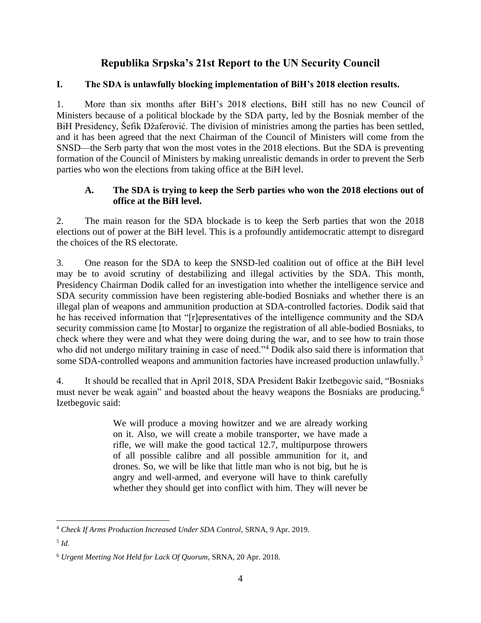#### **I. The SDA is unlawfully blocking implementation of BiH's 2018 election results.**

1. More than six months after BiH's 2018 elections, BiH still has no new Council of Ministers because of a political blockade by the SDA party, led by the Bosniak member of the BiH Presidency, Šefik Džaferović. The division of ministries among the parties has been settled, and it has been agreed that the next Chairman of the Council of Ministers will come from the SNSD—the Serb party that won the most votes in the 2018 elections. But the SDA is preventing formation of the Council of Ministers by making unrealistic demands in order to prevent the Serb parties who won the elections from taking office at the BiH level.

#### **A. The SDA is trying to keep the Serb parties who won the 2018 elections out of office at the BiH level.**

2. The main reason for the SDA blockade is to keep the Serb parties that won the 2018 elections out of power at the BiH level. This is a profoundly antidemocratic attempt to disregard the choices of the RS electorate.

3. One reason for the SDA to keep the SNSD-led coalition out of office at the BiH level may be to avoid scrutiny of destabilizing and illegal activities by the SDA. This month, Presidency Chairman Dodik called for an investigation into whether the intelligence service and SDA security commission have been registering able-bodied Bosniaks and whether there is an illegal plan of weapons and ammunition production at SDA-controlled factories. Dodik said that he has received information that "[r]epresentatives of the intelligence community and the SDA security commission came [to Mostar] to organize the registration of all able-bodied Bosniaks, to check where they were and what they were doing during the war, and to see how to train those who did not undergo military training in case of need."<sup>4</sup> Dodik also said there is information that some SDA-controlled weapons and ammunition factories have increased production unlawfully.<sup>5</sup>

4. It should be recalled that in April 2018, SDA President Bakir Izetbegovic said, "Bosniaks must never be weak again" and boasted about the heavy weapons the Bosniaks are producing.<sup>6</sup> Izetbegovic said:

> We will produce a moving howitzer and we are already working on it. Also, we will create a mobile transporter, we have made a rifle, we will make the good tactical 12.7, multipurpose throwers of all possible calibre and all possible ammunition for it, and drones. So, we will be like that little man who is not big, but he is angry and well-armed, and everyone will have to think carefully whether they should get into conflict with him. They will never be

 $\overline{a}$ <sup>4</sup> *Check If Arms Production Increased Under SDA Control*, SRNA, 9 Apr. 2019.

<sup>5</sup> *Id.*

<sup>6</sup> *Urgent Meeting Not Held for Lack Of Quorum*, SRNA, 20 Apr. 2018.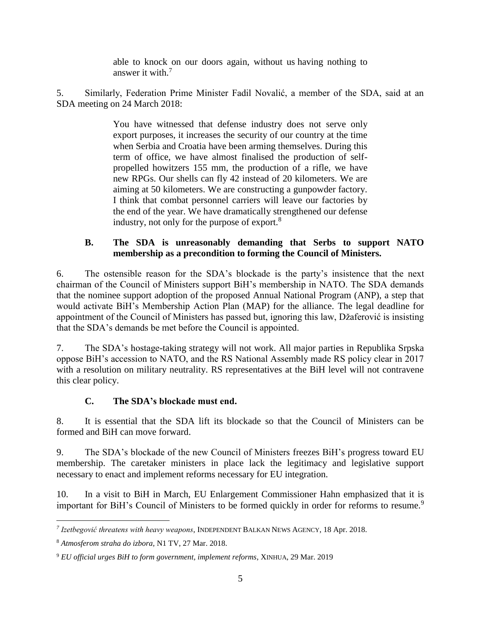able to knock on our doors again, without us having nothing to answer it with. $<sup>7</sup>$ </sup>

5. Similarly, Federation Prime Minister Fadil Novalić, a member of the SDA, said at an SDA meeting on 24 March 2018:

> You have witnessed that defense industry does not serve only export purposes, it increases the security of our country at the time when Serbia and Croatia have been arming themselves. During this term of office, we have almost finalised the production of selfpropelled howitzers 155 mm, the production of a rifle, we have new RPGs. Our shells can fly 42 instead of 20 kilometers. We are aiming at 50 kilometers. We are constructing a gunpowder factory. I think that combat personnel carriers will leave our factories by the end of the year. We have dramatically strengthened our defense industry, not only for the purpose of export.<sup>8</sup>

## **B. The SDA is unreasonably demanding that Serbs to support NATO membership as a precondition to forming the Council of Ministers.**

6. The ostensible reason for the SDA's blockade is the party's insistence that the next chairman of the Council of Ministers support BiH's membership in NATO. The SDA demands that the nominee support adoption of the proposed Annual National Program (ANP), a step that would activate BiH's Membership Action Plan (MAP) for the alliance. The legal deadline for appointment of the Council of Ministers has passed but, ignoring this law, Džaferović is insisting that the SDA's demands be met before the Council is appointed.

7. The SDA's hostage-taking strategy will not work. All major parties in Republika Srpska oppose BiH's accession to NATO, and the RS National Assembly made RS policy clear in 2017 with a resolution on military neutrality. RS representatives at the BiH level will not contravene this clear policy.

## **C. The SDA's blockade must end.**

8. It is essential that the SDA lift its blockade so that the Council of Ministers can be formed and BiH can move forward.

9. The SDA's blockade of the new Council of Ministers freezes BiH's progress toward EU membership. The caretaker ministers in place lack the legitimacy and legislative support necessary to enact and implement reforms necessary for EU integration.

10. In a visit to BiH in March, EU Enlargement Commissioner Hahn emphasized that it is important for BiH's Council of Ministers to be formed quickly in order for reforms to resume.<sup>9</sup>

 $\overline{a}$ *7 Izetbegović threatens with heavy weapons*, INDEPENDENT BALKAN NEWS AGENCY, 18 Apr. 2018.

<sup>8</sup> *Atmosferom straha do izbora,* N1 TV, 27 Mar. 2018.

<sup>9</sup> *EU official urges BiH to form government, implement reforms*, XINHUA, 29 Mar. 2019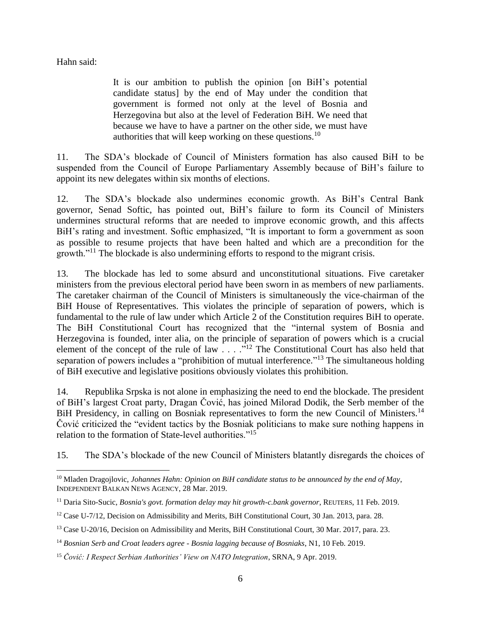Hahn said:

It is our ambition to publish the opinion [on BiH's potential candidate status] by the end of May under the condition that government is formed not only at the level of Bosnia and Herzegovina but also at the level of Federation BiH. We need that because we have to have a partner on the other side, we must have authorities that will keep working on these questions.<sup>10</sup>

11. The SDA's blockade of Council of Ministers formation has also caused BiH to be suspended from the Council of Europe Parliamentary Assembly because of BiH's failure to appoint its new delegates within six months of elections.

12. The SDA's blockade also undermines economic growth. As BiH's Central Bank governor, Senad Softic, has pointed out, BiH's failure to form its Council of Ministers undermines structural reforms that are needed to improve economic growth, and this affects BiH's rating and investment. Softic emphasized, "It is important to form a government as soon as possible to resume projects that have been halted and which are a precondition for the growth."<sup>11</sup> The blockade is also undermining efforts to respond to the migrant crisis.

13. The blockade has led to some absurd and unconstitutional situations. Five caretaker ministers from the previous electoral period have been sworn in as members of new parliaments. The caretaker chairman of the Council of Ministers is simultaneously the vice-chairman of the BiH House of Representatives. This violates the principle of separation of powers, which is fundamental to the rule of law under which Article 2 of the Constitution requires BiH to operate. The BiH Constitutional Court has recognized that the "internal system of Bosnia and Herzegovina is founded, inter alia, on the principle of separation of powers which is a crucial element of the concept of the rule of law  $\cdot$  . . . ."<sup>12</sup> The Constitutional Court has also held that separation of powers includes a "prohibition of mutual interference."<sup>13</sup> The simultaneous holding of BiH executive and legislative positions obviously violates this prohibition.

14. Republika Srpska is not alone in emphasizing the need to end the blockade. The president of BiH's largest Croat party, Dragan Čović, has joined Milorad Dodik, the Serb member of the BiH Presidency, in calling on Bosniak representatives to form the new Council of Ministers.<sup>14</sup> Čović criticized the "evident tactics by the Bosniak politicians to make sure nothing happens in relation to the formation of State-level authorities."<sup>15</sup>

15. The SDA's blockade of the new Council of Ministers blatantly disregards the choices of

 $\overline{a}$ <sup>10</sup> Mladen Dragojlovic, *Johannes Hahn: Opinion on BiH candidate status to be announced by the end of May*, INDEPENDENT BALKAN NEWS AGENCY, 28 Mar. 2019.

<sup>11</sup> Daria Sito-Sucic, *Bosnia's govt. formation delay may hit growth-c.bank governor*, REUTERS, 11 Feb. 2019.

<sup>&</sup>lt;sup>12</sup> Case U-7/12, Decision on Admissibility and Merits, BiH Constitutional Court, 30 Jan. 2013, para. 28.

<sup>&</sup>lt;sup>13</sup> Case U-20/16, Decision on Admissibility and Merits, BiH Constitutional Court, 30 Mar. 2017, para. 23.

<sup>14</sup> *Bosnian Serb and Croat leaders agree - Bosnia lagging because of Bosniaks*, N1, 10 Feb. 2019.

<sup>15</sup> *Čović: I Respect Serbian Authorities' View on NATO Integration*, SRNA, 9 Apr. 2019.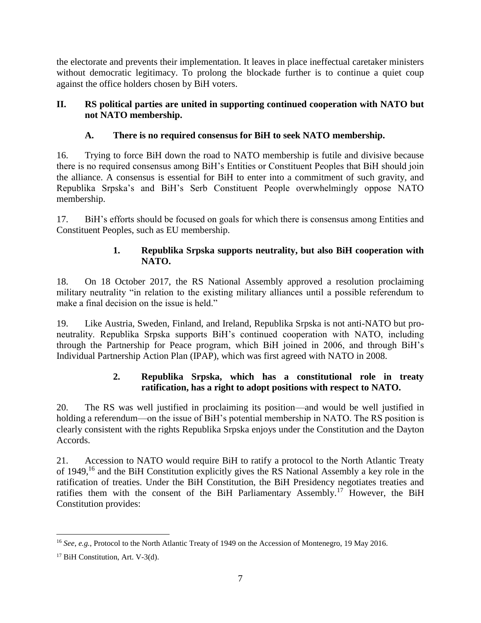the electorate and prevents their implementation. It leaves in place ineffectual caretaker ministers without democratic legitimacy. To prolong the blockade further is to continue a quiet coup against the office holders chosen by BiH voters.

### **II. RS political parties are united in supporting continued cooperation with NATO but not NATO membership.**

## **A. There is no required consensus for BiH to seek NATO membership.**

16. Trying to force BiH down the road to NATO membership is futile and divisive because there is no required consensus among BiH's Entities or Constituent Peoples that BiH should join the alliance. A consensus is essential for BiH to enter into a commitment of such gravity, and Republika Srpska's and BiH's Serb Constituent People overwhelmingly oppose NATO membership.

17. BiH's efforts should be focused on goals for which there is consensus among Entities and Constituent Peoples, such as EU membership.

## **1. Republika Srpska supports neutrality, but also BiH cooperation with NATO.**

18. On 18 October 2017, the RS National Assembly approved a resolution proclaiming military neutrality "in relation to the existing military alliances until a possible referendum to make a final decision on the issue is held."

19. Like Austria, Sweden, Finland, and Ireland, Republika Srpska is not anti-NATO but proneutrality. Republika Srpska supports BiH's continued cooperation with NATO, including through the Partnership for Peace program, which BiH joined in 2006, and through BiH's Individual Partnership Action Plan (IPAP), which was first agreed with NATO in 2008.

## **2. Republika Srpska, which has a constitutional role in treaty ratification, has a right to adopt positions with respect to NATO.**

20. The RS was well justified in proclaiming its position—and would be well justified in holding a referendum—on the issue of BiH's potential membership in NATO. The RS position is clearly consistent with the rights Republika Srpska enjoys under the Constitution and the Dayton Accords.

21. Accession to NATO would require BiH to ratify a protocol to the North Atlantic Treaty of 1949,<sup>16</sup> and the BiH Constitution explicitly gives the RS National Assembly a key role in the ratification of treaties. Under the BiH Constitution, the BiH Presidency negotiates treaties and ratifies them with the consent of the BiH Parliamentary Assembly.<sup>17</sup> However, the BiH Constitution provides:

 $\overline{a}$ <sup>16</sup> *See*, *e.g.*, Protocol to the North Atlantic Treaty of 1949 on the Accession of Montenegro, 19 May 2016.

<sup>&</sup>lt;sup>17</sup> BiH Constitution, Art. V-3(d).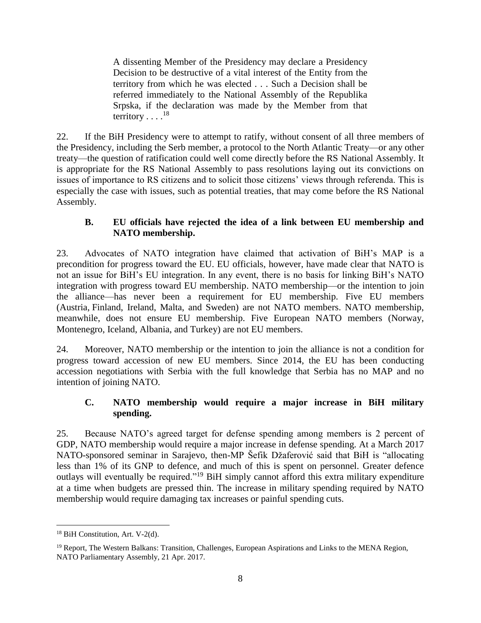A dissenting Member of the Presidency may declare a Presidency Decision to be destructive of a vital interest of the Entity from the territory from which he was elected . . . Such a Decision shall be referred immediately to the National Assembly of the Republika Srpska, if the declaration was made by the Member from that territory  $\dots$ <sup>18</sup>

22. If the BiH Presidency were to attempt to ratify, without consent of all three members of the Presidency, including the Serb member, a protocol to the North Atlantic Treaty—or any other treaty—the question of ratification could well come directly before the RS National Assembly. It is appropriate for the RS National Assembly to pass resolutions laying out its convictions on issues of importance to RS citizens and to solicit those citizens' views through referenda. This is especially the case with issues, such as potential treaties, that may come before the RS National Assembly.

#### **B. EU officials have rejected the idea of a link between EU membership and NATO membership.**

23. Advocates of NATO integration have claimed that activation of BiH's MAP is a precondition for progress toward the EU. EU officials, however, have made clear that NATO is not an issue for BiH's EU integration. In any event, there is no basis for linking BiH's NATO integration with progress toward EU membership. NATO membership—or the intention to join the alliance—has never been a requirement for EU membership. Five EU members (Austria, Finland, Ireland, Malta, and Sweden) are not NATO members. NATO membership, meanwhile, does not ensure EU membership. Five European NATO members (Norway, Montenegro, Iceland, Albania, and Turkey) are not EU members.

24. Moreover, NATO membership or the intention to join the alliance is not a condition for progress toward accession of new EU members. Since 2014, the EU has been conducting accession negotiations with Serbia with the full knowledge that Serbia has no MAP and no intention of joining NATO.

### **C. NATO membership would require a major increase in BiH military spending.**

25. Because NATO's agreed target for defense spending among members is 2 percent of GDP, NATO membership would require a major increase in defense spending. At a March 2017 NATO-sponsored seminar in Sarajevo, then-MP Šefik Džaferović said that BiH is "allocating less than 1% of its GNP to defence, and much of this is spent on personnel. Greater defence outlays will eventually be required."<sup>19</sup> BiH simply cannot afford this extra military expenditure at a time when budgets are pressed thin. The increase in military spending required by NATO membership would require damaging tax increases or painful spending cuts.

 $\overline{a}$ <sup>18</sup> BiH Constitution, Art. V-2(d).

 $19$  Report, The Western Balkans: Transition, Challenges, European Aspirations and Links to the MENA Region, NATO Parliamentary Assembly, 21 Apr. 2017.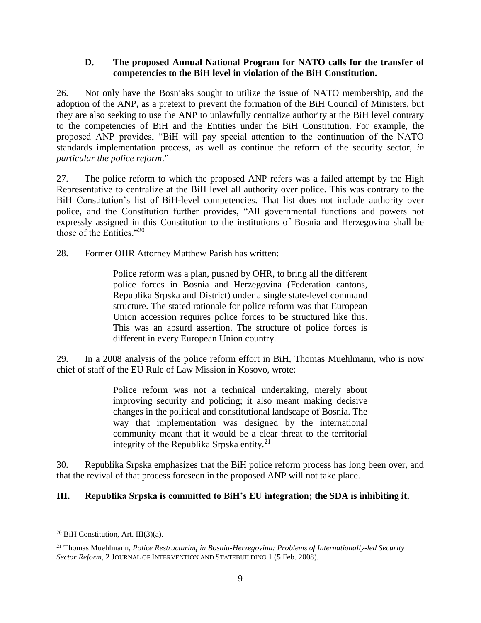#### **D. The proposed Annual National Program for NATO calls for the transfer of competencies to the BiH level in violation of the BiH Constitution.**

26. Not only have the Bosniaks sought to utilize the issue of NATO membership, and the adoption of the ANP, as a pretext to prevent the formation of the BiH Council of Ministers, but they are also seeking to use the ANP to unlawfully centralize authority at the BiH level contrary to the competencies of BiH and the Entities under the BiH Constitution. For example, the proposed ANP provides, "BiH will pay special attention to the continuation of the NATO standards implementation process, as well as continue the reform of the security sector, *in particular the police reform*."

27. The police reform to which the proposed ANP refers was a failed attempt by the High Representative to centralize at the BiH level all authority over police. This was contrary to the BiH Constitution's list of BiH-level competencies. That list does not include authority over police, and the Constitution further provides, "All governmental functions and powers not expressly assigned in this Constitution to the institutions of Bosnia and Herzegovina shall be those of the Entities."<sup>20</sup>

28. Former OHR Attorney Matthew Parish has written:

Police reform was a plan, pushed by OHR, to bring all the different police forces in Bosnia and Herzegovina (Federation cantons, Republika Srpska and District) under a single state-level command structure. The stated rationale for police reform was that European Union accession requires police forces to be structured like this. This was an absurd assertion. The structure of police forces is different in every European Union country.

29. In a 2008 analysis of the police reform effort in BiH, Thomas Muehlmann, who is now chief of staff of the EU Rule of Law Mission in Kosovo, wrote:

> Police reform was not a technical undertaking, merely about improving security and policing; it also meant making decisive changes in the political and constitutional landscape of Bosnia. The way that implementation was designed by the international community meant that it would be a clear threat to the territorial integrity of the Republika Srpska entity. $21$

30. Republika Srpska emphasizes that the BiH police reform process has long been over, and that the revival of that process foreseen in the proposed ANP will not take place.

#### **III. Republika Srpska is committed to BiH's EU integration; the SDA is inhibiting it.**

 $\overline{a}$ <sup>20</sup> BiH Constitution, Art. III(3)(a).

<sup>21</sup> Thomas Muehlmann, *Police Restructuring in Bosnia-Herzegovina: Problems of Internationally-led Security Sector Reform*, 2 JOURNAL OF INTERVENTION AND STATEBUILDING 1 (5 Feb. 2008).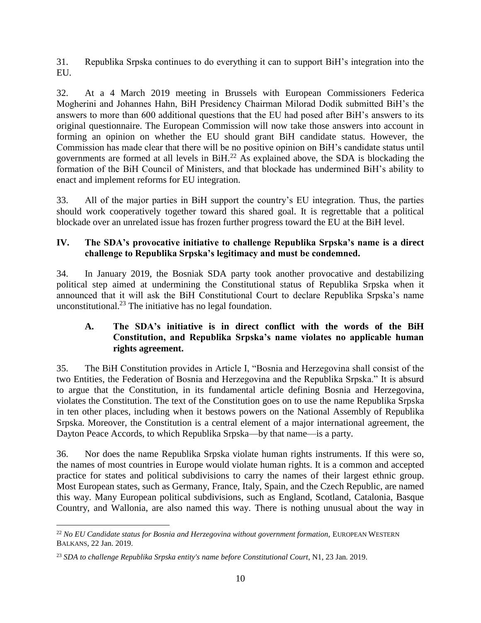31. Republika Srpska continues to do everything it can to support BiH's integration into the EU.

32. At a 4 March 2019 meeting in Brussels with European Commissioners Federica Mogherini and Johannes Hahn, BiH Presidency Chairman Milorad Dodik submitted BiH's the answers to more than 600 additional questions that the EU had posed after BiH's answers to its original questionnaire. The European Commission will now take those answers into account in forming an opinion on whether the EU should grant BiH candidate status. However, the Commission has made clear that there will be no positive opinion on BiH's candidate status until governments are formed at all levels in  $BiH<sup>22</sup>$  As explained above, the SDA is blockading the formation of the BiH Council of Ministers, and that blockade has undermined BiH's ability to enact and implement reforms for EU integration.

33. All of the major parties in BiH support the country's EU integration. Thus, the parties should work cooperatively together toward this shared goal. It is regrettable that a political blockade over an unrelated issue has frozen further progress toward the EU at the BiH level.

## **IV. The SDA's provocative initiative to challenge Republika Srpska's name is a direct challenge to Republika Srpska's legitimacy and must be condemned.**

34. In January 2019, the Bosniak SDA party took another provocative and destabilizing political step aimed at undermining the Constitutional status of Republika Srpska when it announced that it will ask the BiH Constitutional Court to declare Republika Srpska's name unconstitutional.<sup>23</sup> The initiative has no legal foundation.

### **A. The SDA's initiative is in direct conflict with the words of the BiH Constitution, and Republika Srpska's name violates no applicable human rights agreement.**

35. The BiH Constitution provides in Article I, "Bosnia and Herzegovina shall consist of the two Entities, the Federation of Bosnia and Herzegovina and the Republika Srpska." It is absurd to argue that the Constitution, in its fundamental article defining Bosnia and Herzegovina, violates the Constitution. The text of the Constitution goes on to use the name Republika Srpska in ten other places, including when it bestows powers on the National Assembly of Republika Srpska. Moreover, the Constitution is a central element of a major international agreement, the Dayton Peace Accords, to which Republika Srpska—by that name—is a party.

36. Nor does the name Republika Srpska violate human rights instruments. If this were so, the names of most countries in Europe would violate human rights. It is a common and accepted practice for states and political subdivisions to carry the names of their largest ethnic group. Most European states, such as Germany, France, Italy, Spain, and the Czech Republic, are named this way. Many European political subdivisions, such as England, Scotland, Catalonia, Basque Country, and Wallonia, are also named this way. There is nothing unusual about the way in

 $\overline{a}$ <sup>22</sup> No EU Candidate status for Bosnia and Herzegovina without government formation, EUROPEAN WESTERN BALKANS, 22 Jan. 2019.

<sup>23</sup> *SDA to challenge Republika Srpska entity's name before Constitutional Court*, N1, 23 Jan. 2019.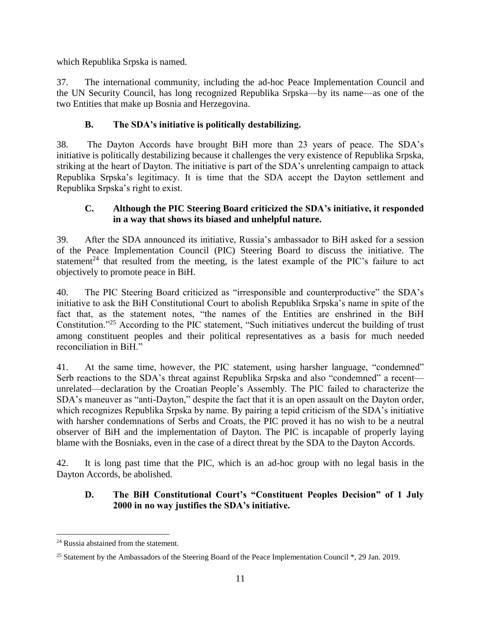which Republika Srpska is named.

37. The international community, including the ad-hoc Peace Implementation Council and the UN Security Council, has long recognized Republika Srpska—by its name—as one of the two Entities that make up Bosnia and Herzegovina.

## **B. The SDA's initiative is politically destabilizing.**

38. The Dayton Accords have brought BiH more than 23 years of peace. The SDA's initiative is politically destabilizing because it challenges the very existence of Republika Srpska, striking at the heart of Dayton. The initiative is part of the SDA's unrelenting campaign to attack Republika Srpska's legitimacy. It is time that the SDA accept the Dayton settlement and Republika Srpska's right to exist.

#### **C. Although the PIC Steering Board criticized the SDA's initiative, it responded in a way that shows its biased and unhelpful nature.**

39. After the SDA announced its initiative, Russia's ambassador to BiH asked for a session of the Peace Implementation Council (PIC) Steering Board to discuss the initiative. The statement<sup>24</sup> that resulted from the meeting, is the latest example of the PIC's failure to act objectively to promote peace in BiH.

40. The PIC Steering Board criticized as "irresponsible and counterproductive" the SDA's initiative to ask the BiH Constitutional Court to abolish Republika Srpska's name in spite of the fact that, as the statement notes, "the names of the Entities are enshrined in the BiH Constitution."<sup>25</sup> According to the PIC statement, "Such initiatives undercut the building of trust among constituent peoples and their political representatives as a basis for much needed reconciliation in BiH."

41. At the same time, however, the PIC statement, using harsher language, "condemned" Serb reactions to the SDA's threat against Republika Srpska and also "condemned" a recent unrelated—declaration by the Croatian People's Assembly. The PIC failed to characterize the SDA's maneuver as "anti-Dayton," despite the fact that it is an open assault on the Dayton order, which recognizes Republika Srpska by name. By pairing a tepid criticism of the SDA's initiative with harsher condemnations of Serbs and Croats, the PIC proved it has no wish to be a neutral observer of BiH and the implementation of Dayton. The PIC is incapable of properly laying blame with the Bosniaks, even in the case of a direct threat by the SDA to the Dayton Accords.

42. It is long past time that the PIC, which is an ad-hoc group with no legal basis in the Dayton Accords, be abolished.

### **D. The BiH Constitutional Court's "Constituent Peoples Decision" of 1 July 2000 in no way justifies the SDA's initiative.**

 $\overline{a}$ <sup>24</sup> Russia abstained from the statement.

<sup>&</sup>lt;sup>25</sup> Statement by the Ambassadors of the Steering Board of the Peace Implementation Council \*, 29 Jan. 2019.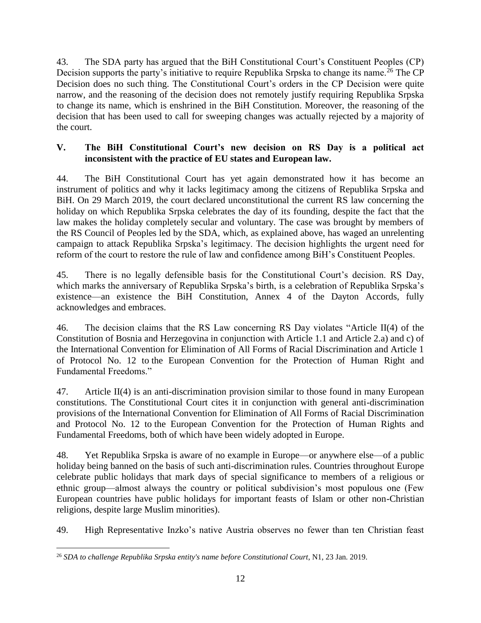43. The SDA party has argued that the BiH Constitutional Court's Constituent Peoples (CP) Decision supports the party's initiative to require Republika Srpska to change its name.<sup>26</sup> The CP Decision does no such thing. The Constitutional Court's orders in the CP Decision were quite narrow, and the reasoning of the decision does not remotely justify requiring Republika Srpska to change its name, which is enshrined in the BiH Constitution. Moreover, the reasoning of the decision that has been used to call for sweeping changes was actually rejected by a majority of the court.

#### **V. The BiH Constitutional Court's new decision on RS Day is a political act inconsistent with the practice of EU states and European law.**

44. The BiH Constitutional Court has yet again demonstrated how it has become an instrument of politics and why it lacks legitimacy among the citizens of Republika Srpska and BiH. On 29 March 2019, the court declared unconstitutional the current RS law concerning the holiday on which Republika Srpska celebrates the day of its founding, despite the fact that the law makes the holiday completely secular and voluntary. The case was brought by members of the RS Council of Peoples led by the SDA, which, as explained above, has waged an unrelenting campaign to attack Republika Srpska's legitimacy. The decision highlights the urgent need for reform of the court to restore the rule of law and confidence among BiH's Constituent Peoples.

45. There is no legally defensible basis for the Constitutional Court's decision. RS Day, which marks the anniversary of Republika Srpska's birth, is a celebration of Republika Srpska's existence—an existence the BiH Constitution, Annex 4 of the Dayton Accords, fully acknowledges and embraces.

46. The decision claims that the RS Law concerning RS Day violates "Article II(4) of the Constitution of Bosnia and Herzegovina in conjunction with Article 1.1 and Article 2.a) and c) of the International Convention for Elimination of All Forms of Racial Discrimination and Article 1 of Protocol No. 12 to the European Convention for the Protection of Human Right and Fundamental Freedoms."

47. Article II(4) is an anti-discrimination provision similar to those found in many European constitutions. The Constitutional Court cites it in conjunction with general anti-discrimination provisions of the International Convention for Elimination of All Forms of Racial Discrimination and Protocol No. 12 to the European Convention for the Protection of Human Rights and Fundamental Freedoms, both of which have been widely adopted in Europe.

48. Yet Republika Srpska is aware of no example in Europe—or anywhere else—of a public holiday being banned on the basis of such anti-discrimination rules. Countries throughout Europe celebrate public holidays that mark days of special significance to members of a religious or ethnic group—almost always the country or political subdivision's most populous one (Few European countries have public holidays for important feasts of Islam or other non-Christian religions, despite large Muslim minorities).

49. High Representative Inzko's native Austria observes no fewer than ten Christian feast

 $\overline{a}$ <sup>26</sup> *SDA to challenge Republika Srpska entity's name before Constitutional Court*, N1, 23 Jan. 2019.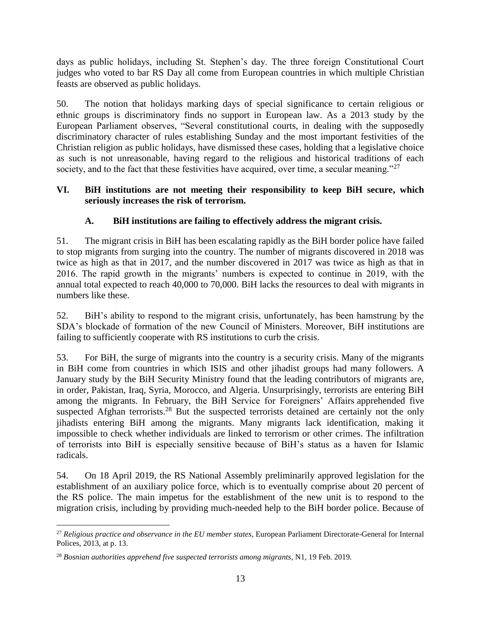days as public holidays, including St. Stephen's day. The three foreign Constitutional Court judges who voted to bar RS Day all come from European countries in which multiple Christian feasts are observed as public holidays.

50. The notion that holidays marking days of special significance to certain religious or ethnic groups is discriminatory finds no support in European law. As a 2013 study by the European Parliament observes, "Several constitutional courts, in dealing with the supposedly discriminatory character of rules establishing Sunday and the most important festivities of the Christian religion as public holidays, have dismissed these cases, holding that a legislative choice as such is not unreasonable, having regard to the religious and historical traditions of each society, and to the fact that these festivities have acquired, over time, a secular meaning."<sup>27</sup>

#### **VI. BiH institutions are not meeting their responsibility to keep BiH secure, which seriously increases the risk of terrorism.**

## **A. BiH institutions are failing to effectively address the migrant crisis.**

51. The migrant crisis in BiH has been escalating rapidly as the BiH border police have failed to stop migrants from surging into the country. The number of migrants discovered in 2018 was twice as high as that in 2017, and the number discovered in 2017 was twice as high as that in 2016. The rapid growth in the migrants' numbers is expected to continue in 2019, with the annual total expected to reach 40,000 to 70,000. BiH lacks the resources to deal with migrants in numbers like these.

52. BiH's ability to respond to the migrant crisis, unfortunately, has been hamstrung by the SDA's blockade of formation of the new Council of Ministers. Moreover, BiH institutions are failing to sufficiently cooperate with RS institutions to curb the crisis.

53. For BiH, the surge of migrants into the country is a security crisis. Many of the migrants in BiH come from countries in which ISIS and other jihadist groups had many followers. A January study by the BiH Security Ministry found that the leading contributors of migrants are, in order, Pakistan, Iraq, Syria, Morocco, and Algeria. Unsurprisingly, terrorists are entering BiH among the migrants. In February, the BiH Service for Foreigners' Affairs apprehended five suspected Afghan terrorists.<sup>28</sup> But the suspected terrorists detained are certainly not the only jihadists entering BiH among the migrants. Many migrants lack identification, making it impossible to check whether individuals are linked to terrorism or other crimes. The infiltration of terrorists into BiH is especially sensitive because of BiH's status as a haven for Islamic radicals.

54. On 18 April 2019, the RS National Assembly preliminarily approved legislation for the establishment of an auxiliary police force, which is to eventually comprise about 20 percent of the RS police. The main impetus for the establishment of the new unit is to respond to the migration crisis, including by providing much-needed help to the BiH border police. Because of

 $\overline{a}$ <sup>27</sup> *Religious practice and observance in the EU member states*, European Parliament Directorate-General for Internal Polices, 2013, at p. 13.

<sup>28</sup> *Bosnian authorities apprehend five suspected terrorists among migrants*, N1, 19 Feb. 2019.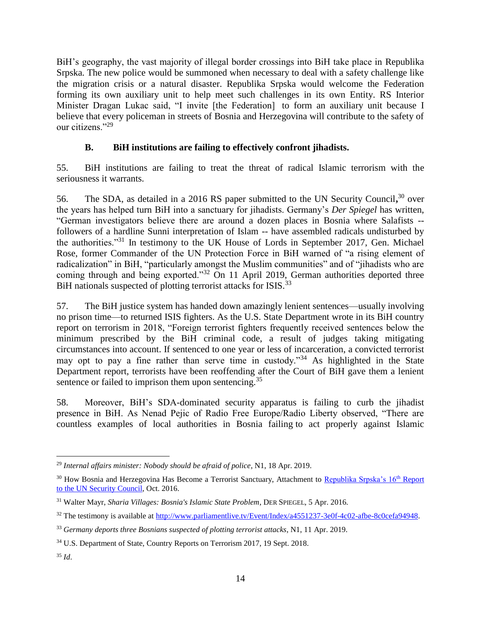BiH's geography, the vast majority of illegal border crossings into BiH take place in Republika Srpska. The new police would be summoned when necessary to deal with a safety challenge like the migration crisis or a natural disaster. Republika Srpska would welcome the Federation forming its own auxiliary unit to help meet such challenges in its own Entity. RS Interior Minister Dragan Lukac said, "I invite [the Federation] to form an auxiliary unit because I believe that every policeman in streets of Bosnia and Herzegovina will contribute to the safety of our citizens<sup>"29</sup>

### **B. BiH institutions are failing to effectively confront jihadists.**

55. BiH institutions are failing to treat the threat of radical Islamic terrorism with the seriousness it warrants.

56. The SDA, as detailed in a 2016 RS paper submitted to the UN Security Council,<sup>30</sup> over the years has helped turn BiH into a sanctuary for jihadists. Germany's *Der Spiegel* has written, "German investigators believe there are around a dozen places in Bosnia where Salafists - followers of a hardline Sunni interpretation of Islam -- have assembled radicals undisturbed by the authorities."<sup>31</sup> In testimony to the UK House of Lords in September 2017, Gen. Michael Rose, former Commander of the UN Protection Force in BiH warned of "a rising element of radicalization" in BiH, "particularly amongst the Muslim communities" and of "jihadists who are coming through and being exported."<sup>32</sup> On 11 April 2019, German authorities deported three BiH nationals suspected of plotting terrorist attacks for ISIS.<sup>33</sup>

57. The BiH justice system has handed down amazingly lenient sentences—usually involving no prison time—to returned ISIS fighters. As the U.S. State Department wrote in its BiH country report on terrorism in 2018, "Foreign terrorist fighters frequently received sentences below the minimum prescribed by the BiH criminal code, a result of judges taking mitigating circumstances into account. If sentenced to one year or less of incarceration, a convicted terrorist may opt to pay a fine rather than serve time in custody.<sup>34</sup> As highlighted in the State Department report, terrorists have been reoffending after the Court of BiH gave them a lenient sentence or failed to imprison them upon sentencing.<sup>35</sup>

58. Moreover, BiH's SDA-dominated security apparatus is failing to curb the jihadist presence in BiH. As Nenad Pejic of Radio Free Europe/Radio Liberty observed, "There are countless examples of local authorities in Bosnia failing to act properly against Islamic

 $\overline{a}$ <sup>29</sup> *Internal affairs minister: Nobody should be afraid of police*, N1, 18 Apr. 2019.

<sup>&</sup>lt;sup>30</sup> How Bosnia and Herzegovina Has Become a Terrorist Sanctuary, Attachment to [Republika Srpska's 16](http://www.bihdaytonproject.com/wp-content/uploads/2016/10/16th-Report-to-UNSC-27-Oct-English.pdf)<sup>th</sup> Report [to the UN Security Council,](http://www.bihdaytonproject.com/wp-content/uploads/2016/10/16th-Report-to-UNSC-27-Oct-English.pdf) Oct. 2016.

<sup>31</sup> Walter Mayr, *Sharia Villages: Bosnia's Islamic State Problem*, DER SPIEGEL, 5 Apr. 2016.

<sup>&</sup>lt;sup>32</sup> The testimony is available at [http://www.parliamentlive.tv/Event/Index/a4551237-3e0f-4c02-afbe-8c0cefa94948.](http://www.parliamentlive.tv/Event/Index/a4551237-3e0f-4c02-afbe-8c0cefa94948)

<sup>33</sup> *Germany deports three Bosnians suspected of plotting terrorist attacks*, N1, 11 Apr. 2019.

<sup>34</sup> U.S. Department of State, Country Reports on Terrorism 2017, 19 Sept. 2018.

<sup>35</sup> *Id*.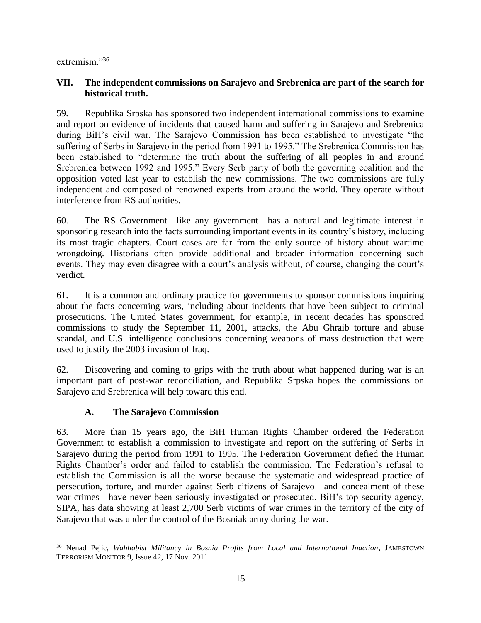extremism."<sup>36</sup>

#### **VII. The independent commissions on Sarajevo and Srebrenica are part of the search for historical truth.**

59. Republika Srpska has sponsored two independent international commissions to examine and report on evidence of incidents that caused harm and suffering in Sarajevo and Srebrenica during BiH's civil war. The Sarajevo Commission has been established to investigate "the suffering of Serbs in Sarajevo in the period from 1991 to 1995." The Srebrenica Commission has been established to "determine the truth about the suffering of all peoples in and around Srebrenica between 1992 and 1995." Every Serb party of both the governing coalition and the opposition voted last year to establish the new commissions. The two commissions are fully independent and composed of renowned experts from around the world. They operate without interference from RS authorities.

60. The RS Government—like any government—has a natural and legitimate interest in sponsoring research into the facts surrounding important events in its country's history, including its most tragic chapters. Court cases are far from the only source of history about wartime wrongdoing. Historians often provide additional and broader information concerning such events. They may even disagree with a court's analysis without, of course, changing the court's verdict.

61. It is a common and ordinary practice for governments to sponsor commissions inquiring about the facts concerning wars, including about incidents that have been subject to criminal prosecutions. The United States government, for example, in recent decades has sponsored commissions to study the September 11, 2001, attacks, the Abu Ghraib torture and abuse scandal, and U.S. intelligence conclusions concerning weapons of mass destruction that were used to justify the 2003 invasion of Iraq.

62. Discovering and coming to grips with the truth about what happened during war is an important part of post-war reconciliation, and Republika Srpska hopes the commissions on Sarajevo and Srebrenica will help toward this end.

## **A. The Sarajevo Commission**

63. More than 15 years ago, the BiH Human Rights Chamber ordered the Federation Government to establish a commission to investigate and report on the suffering of Serbs in Sarajevo during the period from 1991 to 1995. The Federation Government defied the Human Rights Chamber's order and failed to establish the commission. The Federation's refusal to establish the Commission is all the worse because the systematic and widespread practice of persecution, torture, and murder against Serb citizens of Sarajevo—and concealment of these war crimes—have never been seriously investigated or prosecuted. BiH's top security agency, SIPA, has data showing at least 2,700 Serb victims of war crimes in the territory of the city of Sarajevo that was under the control of the Bosniak army during the war.

 $\overline{a}$ <sup>36</sup> Nenad Pejic, *Wahhabist Militancy in Bosnia Profits from Local and International Inaction*, JAMESTOWN TERRORISM MONITOR 9, Issue 42, 17 Nov. 2011.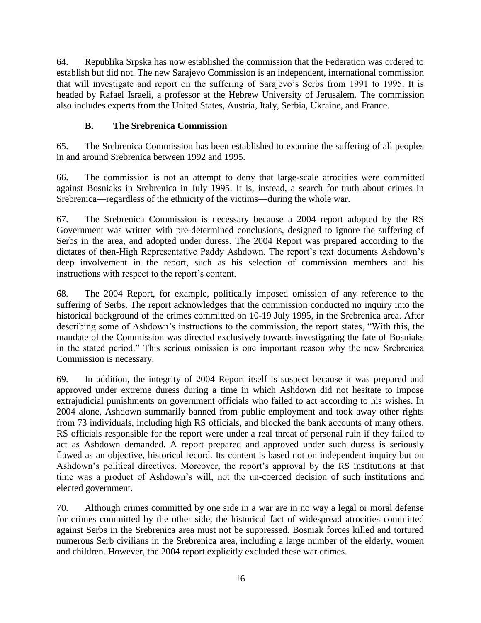64. Republika Srpska has now established the commission that the Federation was ordered to establish but did not. The new Sarajevo Commission is an independent, international commission that will investigate and report on the suffering of Sarajevo's Serbs from 1991 to 1995. It is headed by Rafael Israeli, a professor at the Hebrew University of Jerusalem. The commission also includes experts from the United States, Austria, Italy, Serbia, Ukraine, and France.

## **B. The Srebrenica Commission**

65. The Srebrenica Commission has been established to examine the suffering of all peoples in and around Srebrenica between 1992 and 1995.

66. The commission is not an attempt to deny that large-scale atrocities were committed against Bosniaks in Srebrenica in July 1995. It is, instead, a search for truth about crimes in Srebrenica—regardless of the ethnicity of the victims—during the whole war.

67. The Srebrenica Commission is necessary because a 2004 report adopted by the RS Government was written with pre-determined conclusions, designed to ignore the suffering of Serbs in the area, and adopted under duress. The 2004 Report was prepared according to the dictates of then-High Representative Paddy Ashdown. The report's text documents Ashdown's deep involvement in the report, such as his selection of commission members and his instructions with respect to the report's content.

68. The 2004 Report, for example, politically imposed omission of any reference to the suffering of Serbs. The report acknowledges that the commission conducted no inquiry into the historical background of the crimes committed on 10-19 July 1995, in the Srebrenica area. After describing some of Ashdown's instructions to the commission, the report states, "With this, the mandate of the Commission was directed exclusively towards investigating the fate of Bosniaks in the stated period." This serious omission is one important reason why the new Srebrenica Commission is necessary.

69. In addition, the integrity of 2004 Report itself is suspect because it was prepared and approved under extreme duress during a time in which Ashdown did not hesitate to impose extrajudicial punishments on government officials who failed to act according to his wishes. In 2004 alone, Ashdown summarily banned from public employment and took away other rights from 73 individuals, including high RS officials, and blocked the bank accounts of many others. RS officials responsible for the report were under a real threat of personal ruin if they failed to act as Ashdown demanded. A report prepared and approved under such duress is seriously flawed as an objective, historical record. Its content is based not on independent inquiry but on Ashdown's political directives. Moreover, the report's approval by the RS institutions at that time was a product of Ashdown's will, not the un-coerced decision of such institutions and elected government.

70. Although crimes committed by one side in a war are in no way a legal or moral defense for crimes committed by the other side, the historical fact of widespread atrocities committed against Serbs in the Srebrenica area must not be suppressed. Bosniak forces killed and tortured numerous Serb civilians in the Srebrenica area, including a large number of the elderly, women and children. However, the 2004 report explicitly excluded these war crimes.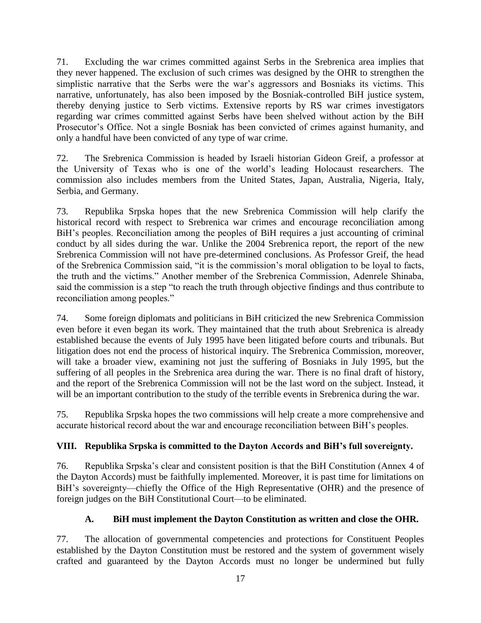71. Excluding the war crimes committed against Serbs in the Srebrenica area implies that they never happened. The exclusion of such crimes was designed by the OHR to strengthen the simplistic narrative that the Serbs were the war's aggressors and Bosniaks its victims. This narrative, unfortunately, has also been imposed by the Bosniak-controlled BiH justice system, thereby denying justice to Serb victims. Extensive reports by RS war crimes investigators regarding war crimes committed against Serbs have been shelved without action by the BiH Prosecutor's Office. Not a single Bosniak has been convicted of crimes against humanity, and only a handful have been convicted of any type of war crime.

72. The Srebrenica Commission is headed by Israeli historian Gideon Greif, a professor at the University of Texas who is one of the world's leading Holocaust researchers. The commission also includes members from the United States, Japan, Australia, Nigeria, Italy, Serbia, and Germany.

73. Republika Srpska hopes that the new Srebrenica Commission will help clarify the historical record with respect to Srebrenica war crimes and encourage reconciliation among BiH's peoples. Reconciliation among the peoples of BiH requires a just accounting of criminal conduct by all sides during the war. Unlike the 2004 Srebrenica report, the report of the new Srebrenica Commission will not have pre-determined conclusions. As Professor Greif, the head of the Srebrenica Commission said, "it is the commission's moral obligation to be loyal to facts, the truth and the victims." Another member of the Srebrenica Commission, Adenrele Shinaba, said the commission is a step "to reach the truth through objective findings and thus contribute to reconciliation among peoples."

74. Some foreign diplomats and politicians in BiH criticized the new Srebrenica Commission even before it even began its work. They maintained that the truth about Srebrenica is already established because the events of July 1995 have been litigated before courts and tribunals. But litigation does not end the process of historical inquiry. The Srebrenica Commission, moreover, will take a broader view, examining not just the suffering of Bosniaks in July 1995, but the suffering of all peoples in the Srebrenica area during the war. There is no final draft of history, and the report of the Srebrenica Commission will not be the last word on the subject. Instead, it will be an important contribution to the study of the terrible events in Srebrenica during the war.

75. Republika Srpska hopes the two commissions will help create a more comprehensive and accurate historical record about the war and encourage reconciliation between BiH's peoples.

## **VIII. Republika Srpska is committed to the Dayton Accords and BiH's full sovereignty.**

76. Republika Srpska's clear and consistent position is that the BiH Constitution (Annex 4 of the Dayton Accords) must be faithfully implemented. Moreover, it is past time for limitations on BiH's sovereignty—chiefly the Office of the High Representative (OHR) and the presence of foreign judges on the BiH Constitutional Court—to be eliminated.

## **A. BiH must implement the Dayton Constitution as written and close the OHR.**

77. The allocation of governmental competencies and protections for Constituent Peoples established by the Dayton Constitution must be restored and the system of government wisely crafted and guaranteed by the Dayton Accords must no longer be undermined but fully